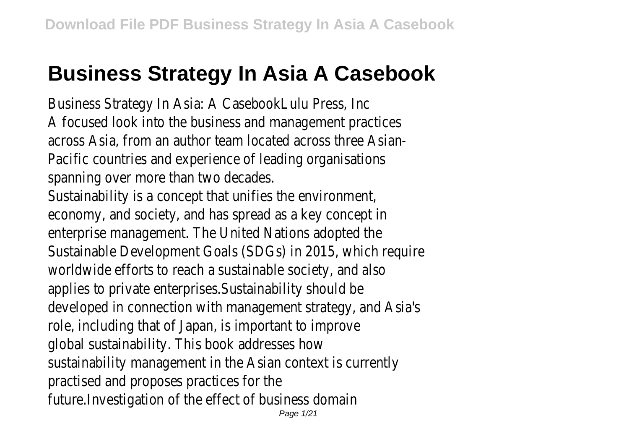# **Business Strategy In Asia A Casebook**

Business Strategy In Asia: A CasebookLulu Press, Inc A focused look into the business and management practices across Asia, from an author team located across three Asian-Pacific countries and experience of leading organisations spanning over more than two decades.

Sustainability is a concept that unifies the environment, economy, and society, and has spread as a key concept in enterprise management. The United Nations adopted the Sustainable Development Goals (SDGs) in 2015, which require worldwide efforts to reach a sustainable society, and also applies to private enterprises.Sustainability should be developed in connection with management strategy, and Asia's role, including that of Japan, is important to improve global sustainability. This book addresses how sustainability management in the Asian context is currently practised and proposes practices for the future.Investigation of the effect of business domain Page 1/21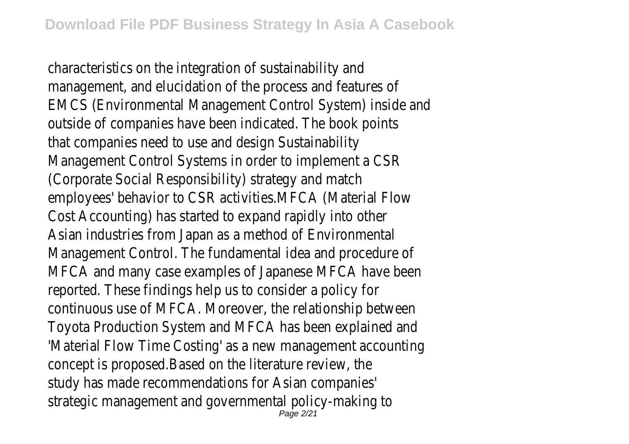characteristics on the integration of sustainability and management, and elucidation of the process and features of EMCS (Environmental Management Control System) inside and outside of companies have been indicated. The book points that companies need to use and design Sustainability Management Control Systems in order to implement a CSR (Corporate Social Responsibility) strategy and match employees' behavior to CSR activities.MFCA (Material Flow Cost Accounting) has started to expand rapidly into other Asian industries from Japan as a method of Environmental Management Control. The fundamental idea and procedure of MFCA and many case examples of Japanese MFCA have been reported. These findings help us to consider a policy for continuous use of MFCA. Moreover, the relationship between Toyota Production System and MFCA has been explained and 'Material Flow Time Costing' as a new management accounting concept is proposed.Based on the literature review, the study has made recommendations for Asian companies' strategic management and governmental policy-making to Page 2/21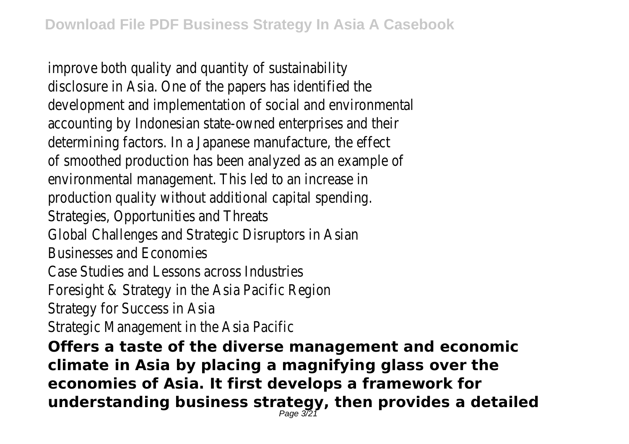improve both quality and quantity of sustainability disclosure in Asia. One of the papers has identified the development and implementation of social and environmental accounting by Indonesian state-owned enterprises and their determining factors. In a Japanese manufacture, the effect of smoothed production has been analyzed as an example of environmental management. This led to an increase in production quality without additional capital spending. Strategies, Opportunities and Threats Global Challenges and Strategic Disruptors in Asian Businesses and Economies Case Studies and Lessons across Industries Foresight & Strategy in the Asia Pacific Region Strategy for Success in Asia Strategic Management in the Asia Pacific **Offers a taste of the diverse management and economic climate in Asia by placing a magnifying glass over the economies of Asia. It first develops a framework for understanding business strategy, then provides a detailed** Page 3/21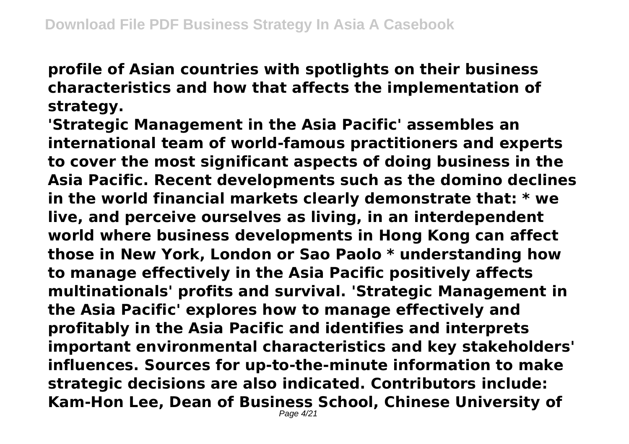**profile of Asian countries with spotlights on their business characteristics and how that affects the implementation of strategy.**

**'Strategic Management in the Asia Pacific' assembles an international team of world-famous practitioners and experts to cover the most significant aspects of doing business in the Asia Pacific. Recent developments such as the domino declines in the world financial markets clearly demonstrate that: \* we live, and perceive ourselves as living, in an interdependent world where business developments in Hong Kong can affect those in New York, London or Sao Paolo \* understanding how to manage effectively in the Asia Pacific positively affects multinationals' profits and survival. 'Strategic Management in the Asia Pacific' explores how to manage effectively and profitably in the Asia Pacific and identifies and interprets important environmental characteristics and key stakeholders' influences. Sources for up-to-the-minute information to make strategic decisions are also indicated. Contributors include: Kam-Hon Lee, Dean of Business School, Chinese University of** Page 4/21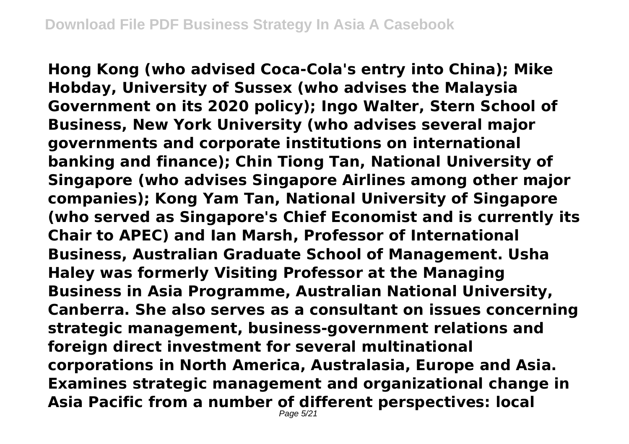**Hong Kong (who advised Coca-Cola's entry into China); Mike Hobday, University of Sussex (who advises the Malaysia Government on its 2020 policy); Ingo Walter, Stern School of Business, New York University (who advises several major governments and corporate institutions on international banking and finance); Chin Tiong Tan, National University of Singapore (who advises Singapore Airlines among other major companies); Kong Yam Tan, National University of Singapore (who served as Singapore's Chief Economist and is currently its Chair to APEC) and Ian Marsh, Professor of International Business, Australian Graduate School of Management. Usha Haley was formerly Visiting Professor at the Managing Business in Asia Programme, Australian National University, Canberra. She also serves as a consultant on issues concerning strategic management, business-government relations and foreign direct investment for several multinational corporations in North America, Australasia, Europe and Asia. Examines strategic management and organizational change in Asia Pacific from a number of different perspectives: local**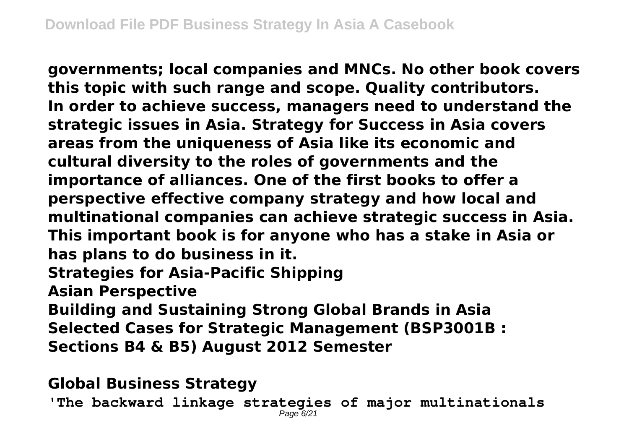**governments; local companies and MNCs. No other book covers this topic with such range and scope. Quality contributors. In order to achieve success, managers need to understand the strategic issues in Asia. Strategy for Success in Asia covers areas from the uniqueness of Asia like its economic and cultural diversity to the roles of governments and the importance of alliances. One of the first books to offer a perspective effective company strategy and how local and multinational companies can achieve strategic success in Asia. This important book is for anyone who has a stake in Asia or has plans to do business in it. Strategies for Asia-Pacific Shipping Asian Perspective Building and Sustaining Strong Global Brands in Asia Selected Cases for Strategic Management (BSP3001B : Sections B4 & B5) August 2012 Semester**

### **Global Business Strategy**

**'The backward linkage strategies of major multinationals** Page 6/21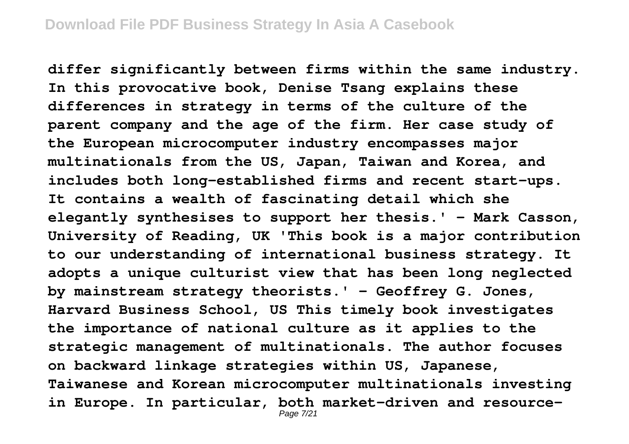**differ significantly between firms within the same industry. In this provocative book, Denise Tsang explains these differences in strategy in terms of the culture of the parent company and the age of the firm. Her case study of the European microcomputer industry encompasses major multinationals from the US, Japan, Taiwan and Korea, and includes both long-established firms and recent start-ups. It contains a wealth of fascinating detail which she elegantly synthesises to support her thesis.' - Mark Casson, University of Reading, UK 'This book is a major contribution to our understanding of international business strategy. It adopts a unique culturist view that has been long neglected by mainstream strategy theorists.' - Geoffrey G. Jones, Harvard Business School, US This timely book investigates the importance of national culture as it applies to the strategic management of multinationals. The author focuses on backward linkage strategies within US, Japanese, Taiwanese and Korean microcomputer multinationals investing in Europe. In particular, both market-driven and resource-**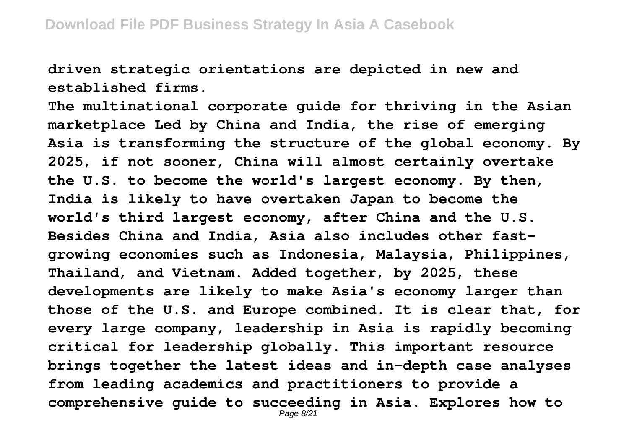**driven strategic orientations are depicted in new and established firms.**

**The multinational corporate guide for thriving in the Asian marketplace Led by China and India, the rise of emerging Asia is transforming the structure of the global economy. By 2025, if not sooner, China will almost certainly overtake the U.S. to become the world's largest economy. By then, India is likely to have overtaken Japan to become the world's third largest economy, after China and the U.S. Besides China and India, Asia also includes other fastgrowing economies such as Indonesia, Malaysia, Philippines, Thailand, and Vietnam. Added together, by 2025, these developments are likely to make Asia's economy larger than those of the U.S. and Europe combined. It is clear that, for every large company, leadership in Asia is rapidly becoming critical for leadership globally. This important resource brings together the latest ideas and in-depth case analyses from leading academics and practitioners to provide a comprehensive guide to succeeding in Asia. Explores how to** Page 8/21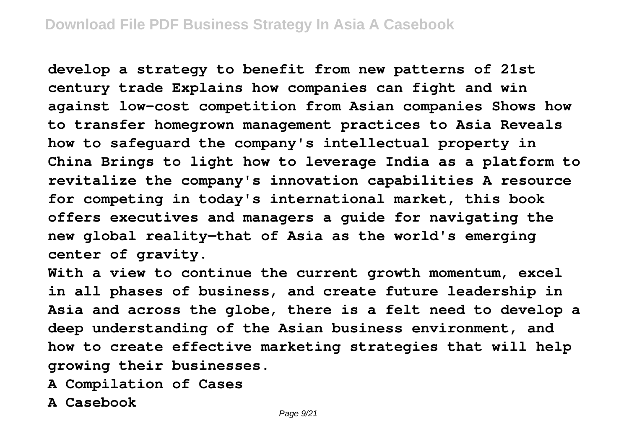**develop a strategy to benefit from new patterns of 21st century trade Explains how companies can fight and win against low-cost competition from Asian companies Shows how to transfer homegrown management practices to Asia Reveals how to safeguard the company's intellectual property in China Brings to light how to leverage India as a platform to revitalize the company's innovation capabilities A resource for competing in today's international market, this book offers executives and managers a guide for navigating the new global reality—that of Asia as the world's emerging center of gravity.**

**With a view to continue the current growth momentum, excel in all phases of business, and create future leadership in Asia and across the globe, there is a felt need to develop a deep understanding of the Asian business environment, and how to create effective marketing strategies that will help growing their businesses.**

- **A Compilation of Cases**
- **A Casebook**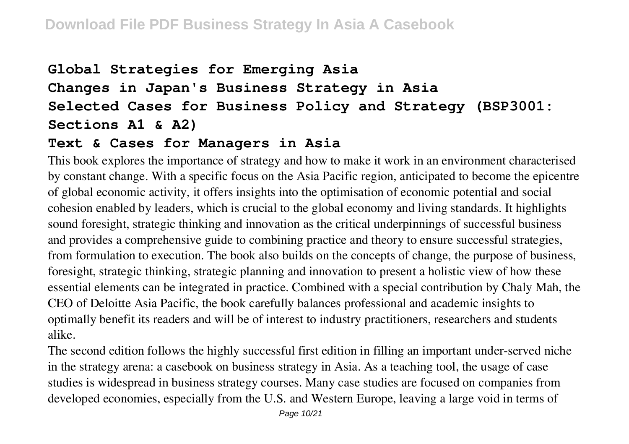## **Global Strategies for Emerging Asia Changes in Japan's Business Strategy in Asia Selected Cases for Business Policy and Strategy (BSP3001: Sections A1 & A2)**

#### **Text & Cases for Managers in Asia**

This book explores the importance of strategy and how to make it work in an environment characterised by constant change. With a specific focus on the Asia Pacific region, anticipated to become the epicentre of global economic activity, it offers insights into the optimisation of economic potential and social cohesion enabled by leaders, which is crucial to the global economy and living standards. It highlights sound foresight, strategic thinking and innovation as the critical underpinnings of successful business and provides a comprehensive guide to combining practice and theory to ensure successful strategies, from formulation to execution. The book also builds on the concepts of change, the purpose of business, foresight, strategic thinking, strategic planning and innovation to present a holistic view of how these essential elements can be integrated in practice. Combined with a special contribution by Chaly Mah, the CEO of Deloitte Asia Pacific, the book carefully balances professional and academic insights to optimally benefit its readers and will be of interest to industry practitioners, researchers and students alike.

The second edition follows the highly successful first edition in filling an important under-served niche in the strategy arena: a casebook on business strategy in Asia. As a teaching tool, the usage of case studies is widespread in business strategy courses. Many case studies are focused on companies from developed economies, especially from the U.S. and Western Europe, leaving a large void in terms of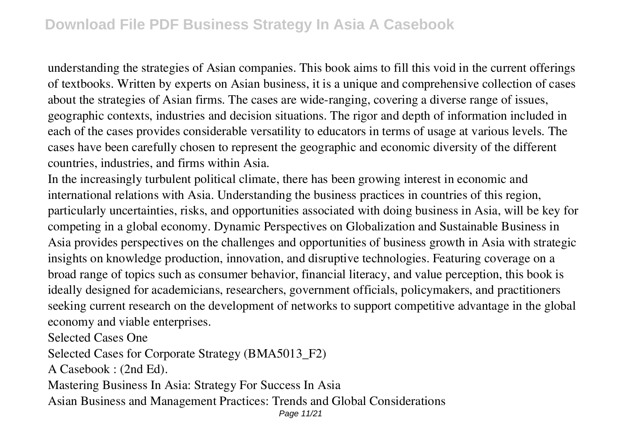understanding the strategies of Asian companies. This book aims to fill this void in the current offerings of textbooks. Written by experts on Asian business, it is a unique and comprehensive collection of cases about the strategies of Asian firms. The cases are wide-ranging, covering a diverse range of issues, geographic contexts, industries and decision situations. The rigor and depth of information included in each of the cases provides considerable versatility to educators in terms of usage at various levels. The cases have been carefully chosen to represent the geographic and economic diversity of the different countries, industries, and firms within Asia.

In the increasingly turbulent political climate, there has been growing interest in economic and international relations with Asia. Understanding the business practices in countries of this region, particularly uncertainties, risks, and opportunities associated with doing business in Asia, will be key for competing in a global economy. Dynamic Perspectives on Globalization and Sustainable Business in Asia provides perspectives on the challenges and opportunities of business growth in Asia with strategic insights on knowledge production, innovation, and disruptive technologies. Featuring coverage on a broad range of topics such as consumer behavior, financial literacy, and value perception, this book is ideally designed for academicians, researchers, government officials, policymakers, and practitioners seeking current research on the development of networks to support competitive advantage in the global economy and viable enterprises.

Selected Cases One

Selected Cases for Corporate Strategy (BMA5013\_F2)

A Casebook : (2nd Ed).

Mastering Business In Asia: Strategy For Success In Asia

Asian Business and Management Practices: Trends and Global Considerations

Page 11/21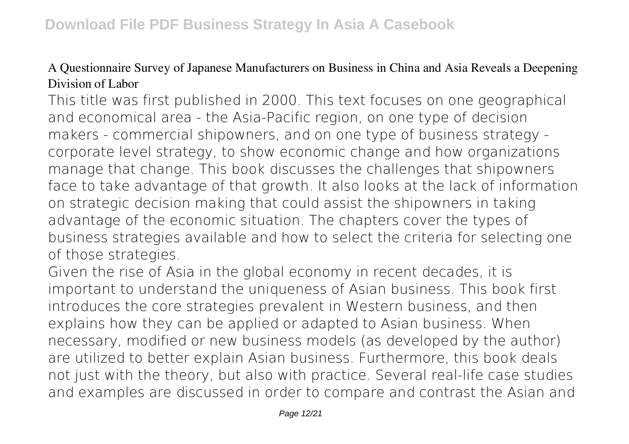#### A Questionnaire Survey of Japanese Manufacturers on Business in China and Asia Reveals a Deepening Division of Labor

This title was first published in 2000. This text focuses on one geographical and economical area - the Asia-Pacific region, on one type of decision makers - commercial shipowners, and on one type of business strategy corporate level strategy, to show economic change and how organizations manage that change. This book discusses the challenges that shipowners face to take advantage of that growth. It also looks at the lack of information on strategic decision making that could assist the shipowners in taking advantage of the economic situation. The chapters cover the types of business strategies available and how to select the criteria for selecting one of those strategies.

Given the rise of Asia in the global economy in recent decades, it is important to understand the uniqueness of Asian business. This book first introduces the core strategies prevalent in Western business, and then explains how they can be applied or adapted to Asian business. When necessary, modified or new business models (as developed by the author) are utilized to better explain Asian business. Furthermore, this book deals not just with the theory, but also with practice. Several real-life case studies and examples are discussed in order to compare and contrast the Asian and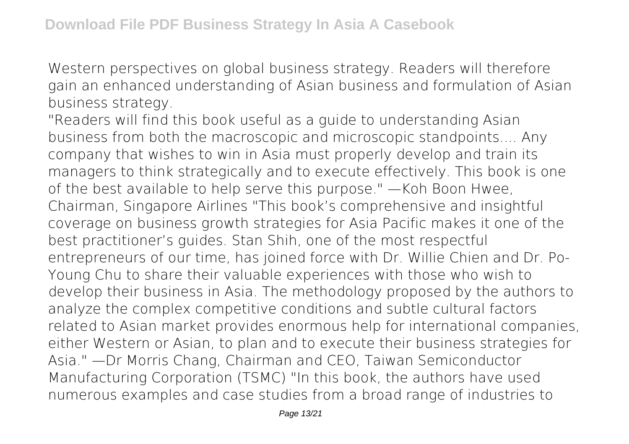Western perspectives on global business strategy. Readers will therefore gain an enhanced understanding of Asian business and formulation of Asian business strategy.

"Readers will find this book useful as a guide to understanding Asian business from both the macroscopic and microscopic standpoints.... Any company that wishes to win in Asia must properly develop and train its managers to think strategically and to execute effectively. This book is one of the best available to help serve this purpose." —Koh Boon Hwee, Chairman, Singapore Airlines "This book's comprehensive and insightful coverage on business growth strategies for Asia Pacific makes it one of the best practitioner's guides. Stan Shih, one of the most respectful entrepreneurs of our time, has joined force with Dr. Willie Chien and Dr. Po-Young Chu to share their valuable experiences with those who wish to develop their business in Asia. The methodology proposed by the authors to analyze the complex competitive conditions and subtle cultural factors related to Asian market provides enormous help for international companies, either Western or Asian, to plan and to execute their business strategies for Asia." —Dr Morris Chang, Chairman and CEO, Taiwan Semiconductor Manufacturing Corporation (TSMC) "In this book, the authors have used numerous examples and case studies from a broad range of industries to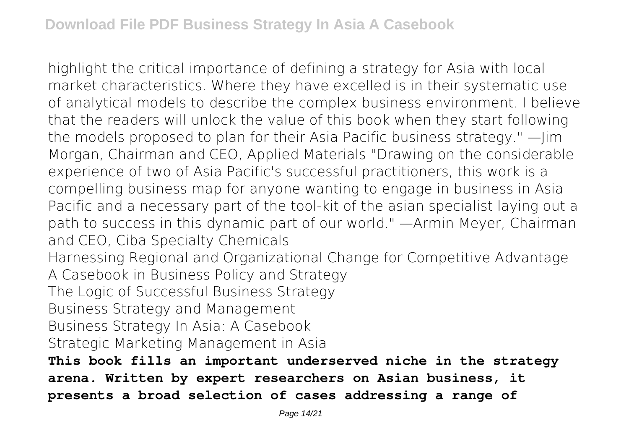highlight the critical importance of defining a strategy for Asia with local market characteristics. Where they have excelled is in their systematic use of analytical models to describe the complex business environment. I believe that the readers will unlock the value of this book when they start following the models proposed to plan for their Asia Pacific business strategy." —Jim Morgan, Chairman and CEO, Applied Materials "Drawing on the considerable experience of two of Asia Pacific's successful practitioners, this work is a compelling business map for anyone wanting to engage in business in Asia Pacific and a necessary part of the tool-kit of the asian specialist laying out a path to success in this dynamic part of our world." —Armin Meyer, Chairman and CEO, Ciba Specialty Chemicals Harnessing Regional and Organizational Change for Competitive Advantage A Casebook in Business Policy and Strategy The Logic of Successful Business Strategy Business Strategy and Management Business Strategy In Asia: A Casebook Strategic Marketing Management in Asia **This book fills an important underserved niche in the strategy arena. Written by expert researchers on Asian business, it presents a broad selection of cases addressing a range of**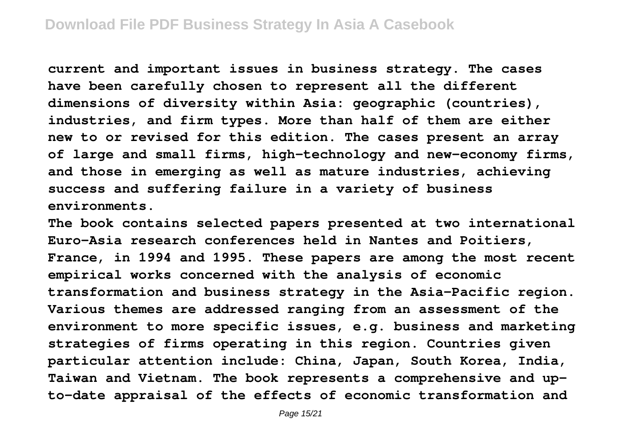**current and important issues in business strategy. The cases have been carefully chosen to represent all the different dimensions of diversity within Asia: geographic (countries), industries, and firm types. More than half of them are either new to or revised for this edition. The cases present an array of large and small firms, high-technology and new-economy firms, and those in emerging as well as mature industries, achieving success and suffering failure in a variety of business environments.**

**The book contains selected papers presented at two international Euro-Asia research conferences held in Nantes and Poitiers, France, in 1994 and 1995. These papers are among the most recent empirical works concerned with the analysis of economic transformation and business strategy in the Asia-Pacific region. Various themes are addressed ranging from an assessment of the environment to more specific issues, e.g. business and marketing strategies of firms operating in this region. Countries given particular attention include: China, Japan, South Korea, India, Taiwan and Vietnam. The book represents a comprehensive and upto-date appraisal of the effects of economic transformation and**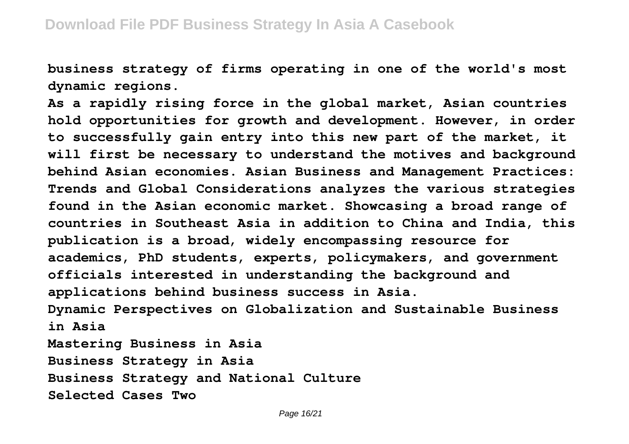**business strategy of firms operating in one of the world's most dynamic regions.**

**As a rapidly rising force in the global market, Asian countries hold opportunities for growth and development. However, in order to successfully gain entry into this new part of the market, it will first be necessary to understand the motives and background behind Asian economies. Asian Business and Management Practices: Trends and Global Considerations analyzes the various strategies found in the Asian economic market. Showcasing a broad range of countries in Southeast Asia in addition to China and India, this publication is a broad, widely encompassing resource for academics, PhD students, experts, policymakers, and government officials interested in understanding the background and applications behind business success in Asia. Dynamic Perspectives on Globalization and Sustainable Business in Asia Mastering Business in Asia Business Strategy in Asia**

**Business Strategy and National Culture**

**Selected Cases Two**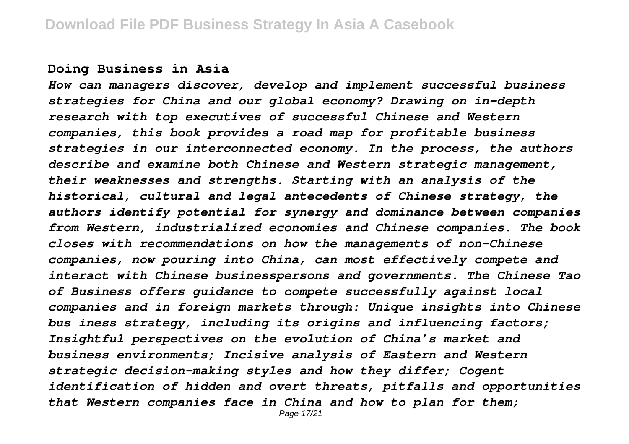#### **Doing Business in Asia**

*How can managers discover, develop and implement successful business strategies for China and our global economy? Drawing on in-depth research with top executives of successful Chinese and Western companies, this book provides a road map for profitable business strategies in our interconnected economy. In the process, the authors describe and examine both Chinese and Western strategic management, their weaknesses and strengths. Starting with an analysis of the historical, cultural and legal antecedents of Chinese strategy, the authors identify potential for synergy and dominance between companies from Western, industrialized economies and Chinese companies. The book closes with recommendations on how the managements of non-Chinese companies, now pouring into China, can most effectively compete and interact with Chinese businesspersons and governments. The Chinese Tao of Business offers guidance to compete successfully against local companies and in foreign markets through: Unique insights into Chinese bus iness strategy, including its origins and influencing factors; Insightful perspectives on the evolution of China's market and business environments; Incisive analysis of Eastern and Western strategic decision-making styles and how they differ; Cogent identification of hidden and overt threats, pitfalls and opportunities that Western companies face in China and how to plan for them;*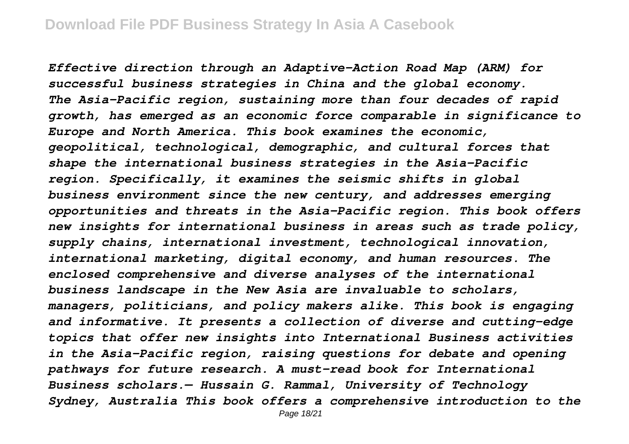*Effective direction through an Adaptive-Action Road Map (ARM) for successful business strategies in China and the global economy. The Asia-Pacific region, sustaining more than four decades of rapid growth, has emerged as an economic force comparable in significance to Europe and North America. This book examines the economic, geopolitical, technological, demographic, and cultural forces that shape the international business strategies in the Asia-Pacific region. Specifically, it examines the seismic shifts in global business environment since the new century, and addresses emerging opportunities and threats in the Asia-Pacific region. This book offers new insights for international business in areas such as trade policy, supply chains, international investment, technological innovation, international marketing, digital economy, and human resources. The enclosed comprehensive and diverse analyses of the international business landscape in the New Asia are invaluable to scholars, managers, politicians, and policy makers alike. This book is engaging and informative. It presents a collection of diverse and cutting-edge topics that offer new insights into International Business activities in the Asia-Pacific region, raising questions for debate and opening pathways for future research. A must-read book for International Business scholars.— Hussain G. Rammal, University of Technology Sydney, Australia This book offers a comprehensive introduction to the*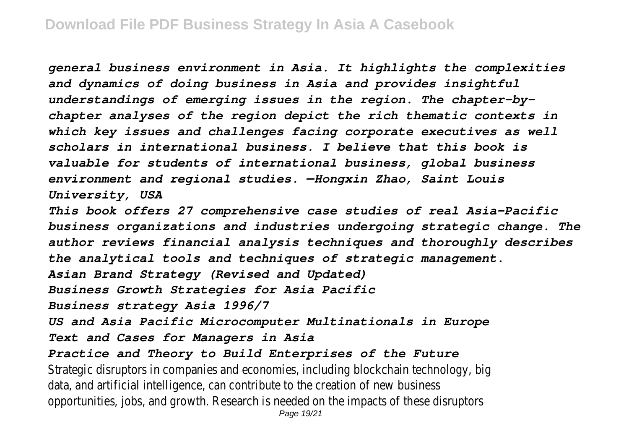*general business environment in Asia. It highlights the complexities and dynamics of doing business in Asia and provides insightful understandings of emerging issues in the region. The chapter-bychapter analyses of the region depict the rich thematic contexts in which key issues and challenges facing corporate executives as well scholars in international business. I believe that this book is valuable for students of international business, global business environment and regional studies. —Hongxin Zhao, Saint Louis University, USA*

*This book offers 27 comprehensive case studies of real Asia-Pacific business organizations and industries undergoing strategic change. The author reviews financial analysis techniques and thoroughly describes the analytical tools and techniques of strategic management.*

*Asian Brand Strategy (Revised and Updated)*

*Business Growth Strategies for Asia Pacific*

*Business strategy Asia 1996/7*

*US and Asia Pacific Microcomputer Multinationals in Europe*

*Text and Cases for Managers in Asia*

*Practice and Theory to Build Enterprises of the Future*

Strategic disruptors in companies and economies, including blockchain technology, big data, and artificial intelligence, can contribute to the creation of new business opportunities, jobs, and growth. Research is needed on the impacts of these disruptors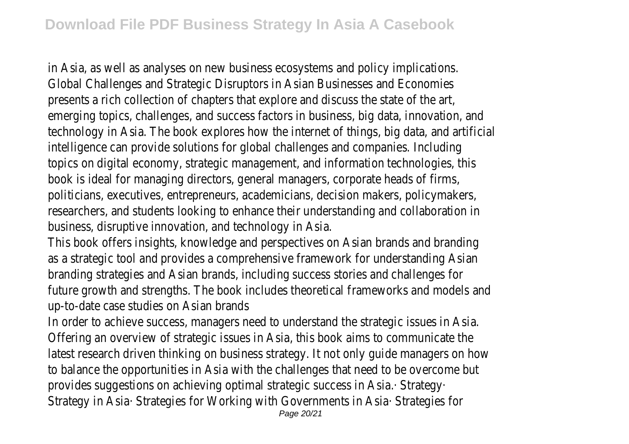in Asia, as well as analyses on new business ecosystems and policy implications. Global Challenges and Strategic Disruptors in Asian Businesses and Economies presents a rich collection of chapters that explore and discuss the state of the art, emerging topics, challenges, and success factors in business, big data, innovation, and technology in Asia. The book explores how the internet of things, big data, and artificial intelligence can provide solutions for global challenges and companies. Including topics on digital economy, strategic management, and information technologies, this book is ideal for managing directors, general managers, corporate heads of firms, politicians, executives, entrepreneurs, academicians, decision makers, policymakers, researchers, and students looking to enhance their understanding and collaboration in business, disruptive innovation, and technology in Asia.

This book offers insights, knowledge and perspectives on Asian brands and branding as a strategic tool and provides a comprehensive framework for understanding Asian branding strategies and Asian brands, including success stories and challenges for future growth and strengths. The book includes theoretical frameworks and models and up-to-date case studies on Asian brands

In order to achieve success, managers need to understand the strategic issues in Asia. Offering an overview of strategic issues in Asia, this book aims to communicate the latest research driven thinking on business strategy. It not only guide managers on how to balance the opportunities in Asia with the challenges that need to be overcome but provides suggestions on achieving optimal strategic success in Asia.· Strategy· Strategy in Asia· Strategies for Working with Governments in Asia· Strategies for